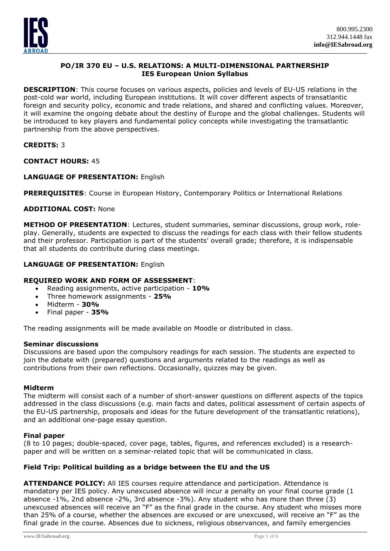

# **PO/IR 370 EU – U.S. RELATIONS: A MULTI-DIMENSIONAL PARTNERSHIP IES European Union Syllabus**

**DESCRIPTION**: This course focuses on various aspects, policies and levels of EU-US relations in the post-cold war world, including European institutions. It will cover different aspects of transatlantic foreign and security policy, economic and trade relations, and shared and conflicting values. Moreover, it will examine the ongoing debate about the destiny of Europe and the global challenges. Students will be introduced to key players and fundamental policy concepts while investigating the transatlantic partnership from the above perspectives.

# **CREDITS:** 3

**CONTACT HOURS:** 45

## **LANGUAGE OF PRESENTATION:** English

**PREREQUISITES**: Course in European History, Contemporary Politics or International Relations

## **ADDITIONAL COST:** None

**METHOD OF PRESENTATION**: Lectures, student summaries, seminar discussions, group work, roleplay. Generally, students are expected to discuss the readings for each class with their fellow students and their professor. Participation is part of the students' overall grade; therefore, it is indispensable that all students do contribute during class meetings.

## **LANGUAGE OF PRESENTATION:** English

#### **REQUIRED WORK AND FORM OF ASSESSMENT**:

- Reading assignments, active participation **10%**
- Three homework assignments **25%**
- Midterm **30%**
- Final paper **35%**

The reading assignments will be made available on Moodle or distributed in class.

#### **Seminar discussions**

Discussions are based upon the compulsory readings for each session. The students are expected to join the debate with (prepared) questions and arguments related to the readings as well as contributions from their own reflections. Occasionally, quizzes may be given.

#### **Midterm**

The midterm will consist each of a number of short-answer questions on different aspects of the topics addressed in the class discussions (e.g. main facts and dates, political assessment of certain aspects of the EU-US partnership, proposals and ideas for the future development of the transatlantic relations), and an additional one-page essay question.

#### **Final paper**

(8 to 10 pages; double-spaced, cover page, tables, figures, and references excluded) is a researchpaper and will be written on a seminar-related topic that will be communicated in class.

#### **Field Trip: Political building as a bridge between the EU and the US**

**ATTENDANCE POLICY:** All IES courses require attendance and participation. Attendance is mandatory per IES policy. Any unexcused absence will incur a penalty on your final course grade (1 absence -1%, 2nd absence -2%, 3rd absence -3%). Any student who has more than three (3) unexcused absences will receive an "F" as the final grade in the course. Any student who misses more than 25% of a course, whether the absences are excused or are unexcused, will receive an "F" as the final grade in the course. Absences due to sickness, religious observances, and family emergencies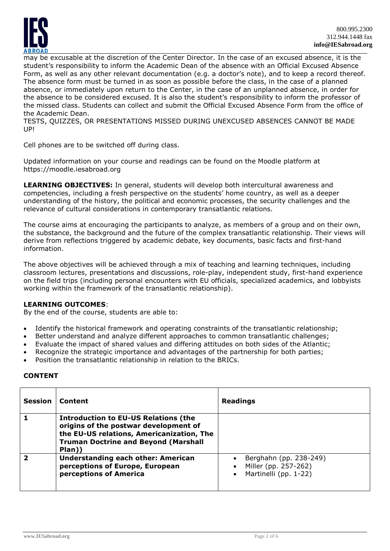

may be excusable at the discretion of the Center Director. In the case of an excused absence, it is the student's responsibility to inform the Academic Dean of the absence with an Official Excused Absence Form, as well as any other relevant documentation (e.g. a doctor's note), and to keep a record thereof. The absence form must be turned in as soon as possible before the class, in the case of a planned absence, or immediately upon return to the Center, in the case of an unplanned absence, in order for the absence to be considered excused. It is also the student's responsibility to inform the professor of the missed class. Students can collect and submit the Official Excused Absence Form from the office of the Academic Dean.

TESTS, QUIZZES, OR PRESENTATIONS MISSED DURING UNEXCUSED ABSENCES CANNOT BE MADE UP!

Cell phones are to be switched off during class.

Updated information on your course and readings can be found on the Moodle platform at https://moodle.iesabroad.org

**LEARNING OBJECTIVES:** In general, students will develop both intercultural awareness and competencies, including a fresh perspective on the students' home country, as well as a deeper understanding of the history, the political and economic processes, the security challenges and the relevance of cultural considerations in contemporary transatlantic relations.

The course aims at encouraging the participants to analyze, as members of a group and on their own, the substance, the background and the future of the complex transatlantic relationship. Their views will derive from reflections triggered by academic debate, key documents, basic facts and first-hand information.

The above objectives will be achieved through a mix of teaching and learning techniques, including classroom lectures, presentations and discussions, role-play, independent study, first-hand experience on the field trips (including personal encounters with EU officials, specialized academics, and lobbyists working within the framework of the transatlantic relationship).

# **LEARNING OUTCOMES**:

By the end of the course, students are able to:

- Identify the historical framework and operating constraints of the transatlantic relationship;
- Better understand and analyze different approaches to common transatlantic challenges;
- Evaluate the impact of shared values and differing attitudes on both sides of the Atlantic;
- Recognize the strategic importance and advantages of the partnership for both parties;
- Position the transatlantic relationship in relation to the BRICs.

## **CONTENT**

| <b>Session</b> | Content                                                                                                                                                                                    | Readings                                                                |
|----------------|--------------------------------------------------------------------------------------------------------------------------------------------------------------------------------------------|-------------------------------------------------------------------------|
|                | <b>Introduction to EU-US Relations (the</b><br>origins of the postwar development of<br>the EU-US relations, Americanization, The<br><b>Truman Doctrine and Beyond (Marshall</b><br>Plan)) |                                                                         |
|                | <b>Understanding each other: American</b><br>perceptions of Europe, European<br>perceptions of America                                                                                     | Berghahn (pp. 238-249)<br>Miller (pp. 257-262)<br>Martinelli (pp. 1-22) |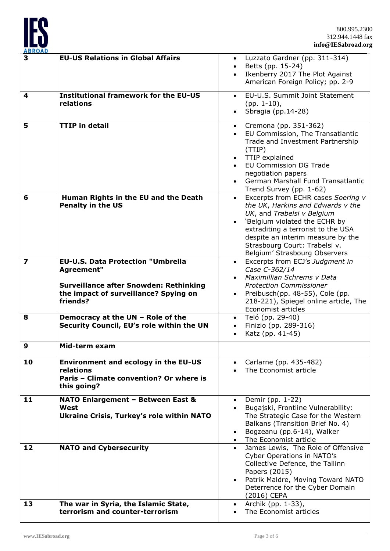

| ADNUAL<br>3             | <b>EU-US Relations in Global Affairs</b>                                               | • Luzzato Gardner (pp. 311-314)                                         |
|-------------------------|----------------------------------------------------------------------------------------|-------------------------------------------------------------------------|
|                         |                                                                                        | Betts (pp. 15-24)<br>$\bullet$                                          |
|                         |                                                                                        | Ikenberry 2017 The Plot Against                                         |
|                         |                                                                                        | American Foreign Policy; pp. 2-9                                        |
| 4                       | <b>Institutional framework for the EU-US</b>                                           | EU-U.S. Summit Joint Statement<br>$\bullet$                             |
|                         | relations                                                                              | $(pp. 1-10)$ ,                                                          |
|                         |                                                                                        | Sbragia (pp.14-28)                                                      |
| 5                       | <b>TTIP in detail</b>                                                                  | Cremona (pp. 351-362)<br>$\bullet$                                      |
|                         |                                                                                        | EU Commission, The Transatlantic                                        |
|                         |                                                                                        | Trade and Investment Partnership                                        |
|                         |                                                                                        | (TTIP)<br>TTIP explained                                                |
|                         |                                                                                        | <b>EU Commission DG Trade</b>                                           |
|                         |                                                                                        | negotiation papers                                                      |
|                         |                                                                                        | German Marshall Fund Transatlantic                                      |
|                         |                                                                                        | Trend Survey (pp. 1-62)                                                 |
| 6                       | Human Rights in the EU and the Death<br><b>Penalty in the US</b>                       | Excerpts from ECHR cases Soering v<br>the UK, Harkins and Edwards v the |
|                         |                                                                                        | UK, and Trabelsi v Belgium                                              |
|                         |                                                                                        | 'Belgium violated the ECHR by                                           |
|                         |                                                                                        | extraditing a terrorist to the USA                                      |
|                         |                                                                                        | despite an interim measure by the<br>Strasbourg Court: Trabelsi v.      |
|                         |                                                                                        | Belgium' Strasbourg Observers                                           |
| $\overline{\mathbf{z}}$ | <b>EU-U.S. Data Protection "Umbrella</b>                                               | Excerpts from ECJ's Judgment in<br>$\bullet$                            |
|                         | Agreement"                                                                             | Case C-362/14                                                           |
|                         |                                                                                        | Maximillian Schrems v Data<br><b>Protection Commissioner</b>            |
|                         | <b>Surveillance after Snowden: Rethinking</b><br>the impact of surveillance? Spying on | Preibusch(pp. 48-55), Cole (pp.                                         |
|                         | friends?                                                                               | 218-221), Spiegel online article, The                                   |
|                         |                                                                                        | Economist articles                                                      |
| 8                       | Democracy at the UN - Role of the                                                      | Teló (pp. 29-40)<br>$\bullet$                                           |
|                         | Security Council, EU's role within the UN                                              | Finizio (pp. 289-316)<br>$\bullet$<br>Katz (pp. 41-45)                  |
|                         |                                                                                        |                                                                         |
| 9                       | Mid-term exam                                                                          |                                                                         |
| 10                      | <b>Environment and ecology in the EU-US</b>                                            | Carlarne (pp. 435-482)                                                  |
|                         | relations                                                                              | The Economist article                                                   |
|                         | Paris - Climate convention? Or where is                                                |                                                                         |
|                         | this going?                                                                            |                                                                         |
| 11                      | NATO Enlargement - Between East &                                                      | Demir (pp. 1-22)<br>$\bullet$                                           |
|                         | West                                                                                   | Bugajski, Frontline Vulnerability:<br>$\bullet$                         |
|                         | <b>Ukraine Crisis, Turkey's role within NATO</b>                                       | The Strategic Case for the Western<br>Balkans (Transition Brief No. 4)  |
|                         |                                                                                        | Bogzeanu (pp.6-14), Walker                                              |
|                         |                                                                                        | The Economist article                                                   |
| 12                      | <b>NATO and Cybersecurity</b>                                                          | James Lewis, The Role of Offensive<br>$\bullet$                         |
|                         |                                                                                        | Cyber Operations in NATO's<br>Collective Defence, the Tallinn           |
|                         |                                                                                        | Papers (2015)                                                           |
|                         |                                                                                        | Patrik Maldre, Moving Toward NATO                                       |
|                         |                                                                                        | Deterrence for the Cyber Domain                                         |
| 13                      | The war in Syria, the Islamic State,                                                   | (2016) CEPA<br>Archik (pp. 1-33),<br>$\bullet$                          |
|                         | terrorism and counter-terrorism                                                        | The Economist articles                                                  |
|                         |                                                                                        |                                                                         |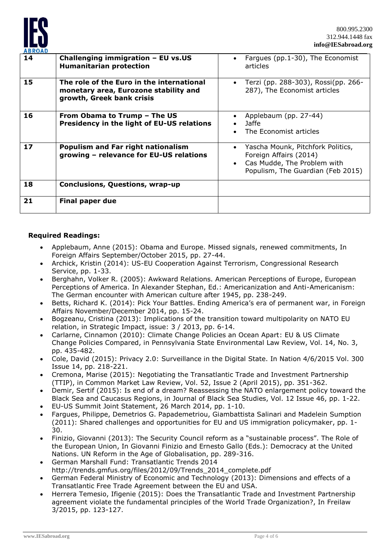

| <b>ABROAD</b> |                                                                                                                 |                                                                                                                                 |
|---------------|-----------------------------------------------------------------------------------------------------------------|---------------------------------------------------------------------------------------------------------------------------------|
| 14            | Challenging immigration - EU vs.US<br><b>Humanitarian protection</b>                                            | Fargues (pp.1-30), The Economist<br>articles                                                                                    |
| 15            | The role of the Euro in the international<br>monetary area, Eurozone stability and<br>growth, Greek bank crisis | Terzi (pp. 288-303), Rossi(pp. 266-<br>287), The Economist articles                                                             |
| 16            | From Obama to Trump - The US<br>Presidency in the light of EU-US relations                                      | Applebaum (pp. 27-44)<br>Jaffe<br>The Economist articles                                                                        |
| 17            | <b>Populism and Far right nationalism</b><br>growing - relevance for EU-US relations                            | Yascha Mounk, Pitchfork Politics,<br>Foreign Affairs (2014)<br>Cas Mudde, The Problem with<br>Populism, The Guardian (Feb 2015) |
| 18            | <b>Conclusions, Questions, wrap-up</b>                                                                          |                                                                                                                                 |
| 21            | Final paper due                                                                                                 |                                                                                                                                 |

## **Required Readings:**

- Applebaum, Anne (2015): Obama and Europe. Missed signals, renewed commitments, In Foreign Affairs September/October 2015, pp. 27-44.
- Archick, Kristin (2014): US-EU Cooperation Against Terrorism, Congressional Research Service, pp. 1-33.
- Berghahn, Volker R. (2005): Awkward Relations. American Perceptions of Europe, European Perceptions of America. In Alexander Stephan, Ed.: Americanization and Anti-Americanism: The German encounter with American culture after 1945, pp. 238-249.
- Betts, Richard K. (2014): Pick Your Battles. Ending America's era of permanent war, in Foreign Affairs November/December 2014, pp. 15-24.
- Bogzeanu, Cristina (2013): Implications of the transition toward multipolarity on NATO EU relation, in Strategic Impact, issue: 3 / 2013, pp. 6-14.
- Carlarne, Cinnamon (2010): Climate Change Policies an Ocean Apart: EU & US Climate Change Policies Compared, in Pennsylvania State Environmental Law Review, Vol. 14, No. 3, pp. 435-482.
- Cole, David (2015): Privacy 2.0: Surveillance in the Digital State. In Nation 4/6/2015 Vol. 300 Issue 14, pp. 218-221.
- Cremona, Marise (2015): Negotiating the Transatlantic Trade and Investment Partnership (TTIP), in Common Market Law Review, Vol. 52, Issue 2 (April 2015), pp. 351-362.
- Demir, Sertif (2015): Is end of a dream? Reassessing the NATO enlargement policy toward the Black Sea and Caucasus Regions, in Journal of Black Sea Studies, Vol. 12 Issue 46, pp. 1-22.
- EU-US Summit Joint Statement, 26 March 2014, pp. 1-10.
- Fargues, Philippe, Demetrios G. Papademetriou, Giambattista Salinari and Madelein Sumption (2011): Shared challenges and opportunities for EU and US immigration policymaker, pp. 1- 30.
- Finizio, Giovanni (2013): The Security Council reform as a "sustainable process". The Role of the European Union, In Giovanni Finizio and Ernesto Gallo (Eds.): Democracy at the United Nations. UN Reform in the Age of Globalisation, pp. 289-316.
- German Marshall Fund: Transatlantic Trends 2014 [http://trends.gmfus.org/files/2012/09/Trends\\_2014\\_complete.pdf](http://trends.gmfus.org/files/2012/09/Trends_2014_complete.pdf)
- German Federal Ministry of Economic and Technology (2013): Dimensions and effects of a Transatlantic Free Trade Agreement between the EU and USA.
- Herrera Temesio, Ifigenie (2015): Does the Transatlantic Trade and Investment Partnership agreement violate the fundamental principles of the World Trade Organization?, In Freilaw 3/2015, pp. 123-127.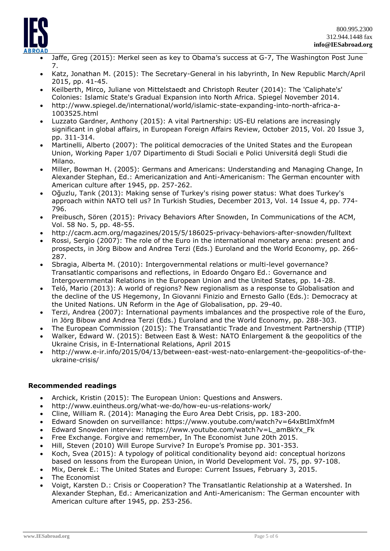

- Jaffe, Greg (2015): Merkel seen as key to Obama's success at G-7, The Washington Post June 7.
- Katz, Jonathan M. (2015): The Secretary-General in his labyrinth, In New Republic March/April 2015, pp. 41-45.
- Keilberth, Mirco, Juliane von Mittelstaedt and Christoph Reuter (2014): The 'Caliphate's' Colonies: Islamic State's Gradual Expansion into North Africa. Spiegel November 2014.
- [http://www.spiegel.de/international/world/islamic-state-expanding-into-north-africa-a-](http://www.spiegel.de/international/world/islamic-state-expanding-into-north-africa-a-1003525.html)[1003525.html](http://www.spiegel.de/international/world/islamic-state-expanding-into-north-africa-a-1003525.html)
- Luzzato Gardner, Anthony (2015): A vital Partnership: US-EU relations are increasingly significant in global affairs, in European Foreign Affairs Review, October 2015, Vol. 20 Issue 3, pp. 311-314.
- Martinelli, Alberto (2007): The political democracies of the United States and the European Union, Working Paper 1/07 Dipartimento di Studi Sociali e Polici Universitá degli Studi die Milano.
- Miller, Bowman H. (2005): Germans and Americans: Understanding and Managing Change, In Alexander Stephan, Ed.: Americanization and Anti-Americanism: The German encounter with American culture after 1945, pp. 257-262.
- Oğuzlu, Tarık (2013): Making sense of Turkey's rising power status: What does Turkey's approach within NATO tell us? In Turkish Studies, December 2013, Vol. 14 Issue 4, pp. 774- 796.
- Preibusch, Sören (2015): Privacy Behaviors After Snowden, In Communications of the ACM, Vol. 58 No. 5, pp. 48-55.
- <http://cacm.acm.org/magazines/2015/5/186025-privacy-behaviors-after-snowden/fulltext>
- Rossi, Sergio (2007): The role of the Euro in the international monetary arena: present and prospects, in Jörg Bibow and Andrea Terzi (Eds.) Euroland and the World Economy, pp. 266- 287.
- Sbragia, Alberta M. (2010): Intergovernmental relations or multi-level governance? Transatlantic comparisons and reflections, in Edoardo Ongaro Ed.: Governance and Intergovernmental Relations in the European Union and the United States, pp. 14-28.
- Teló, Mario (2013): A world of regions? New regionalism as a response to Globalisation and the decline of the US Hegemony, In Giovanni Finizio and Ernesto Gallo (Eds.): Democracy at the United Nations. UN Reform in the Age of Globalisation, pp. 29-40.
- Terzi, Andrea (2007): International payments imbalances and the prospective role of the Euro, in Jörg Bibow and Andrea Terzi (Eds.) Euroland and the World Economy, pp. 288-303.
- The European Commission (2015): The Transatlantic Trade and Investment Partnership (TTIP)
- Walker, Edward W. (2015): Between East & West: NATO Enlargement & the geopolitics of the Ukraine Crisis, in E-International Relations, April 2015
- [http://www.e-ir.info/2015/04/13/between-east-west-nato-enlargement-the-geopolitics-of-the](http://www.e-ir.info/2015/04/13/between-east-west-nato-enlargement-the-geopolitics-of-the-ukraine-crisis/)[ukraine-crisis/](http://www.e-ir.info/2015/04/13/between-east-west-nato-enlargement-the-geopolitics-of-the-ukraine-crisis/)

# **Recommended readings**

- Archick, Kristin (2015): The European Union: Questions and Answers.
- <http://www.euintheus.org/what-we-do/how-eu-us-relations-work/>
- Cline, William R. (2014): Managing the Euro Area Debt Crisis, pp. 183-200.
- Edward Snowden on surveillance:<https://www.youtube.com/watch?v=64xBtImXfmM>
- Edward Snowden interview: [https://www.youtube.com/watch?v=L\\_amBkYx\\_Fk](https://www.youtube.com/watch?v=L_amBkYx_Fk)
- Free Exchange. Forgive and remember, In The Economist June 20th 2015.
- Hill, Steven (2010) Will Europe Survive? In Europe's Promise pp. 301-353.
- Koch, Svea (2015): A typology of political conditionality beyond aid: conceptual horizons based on lessons from the European Union, in World Development Vol. 75, pp. 97-108.
- Mix, Derek E.: The United States and Europe: Current Issues, February 3, 2015.
- The Economist
- Voigt, Karsten D.: Crisis or Cooperation? The Transatlantic Relationship at a Watershed. In Alexander Stephan, Ed.: Americanization and Anti-Americanism: The German encounter with American culture after 1945, pp. 253-256.